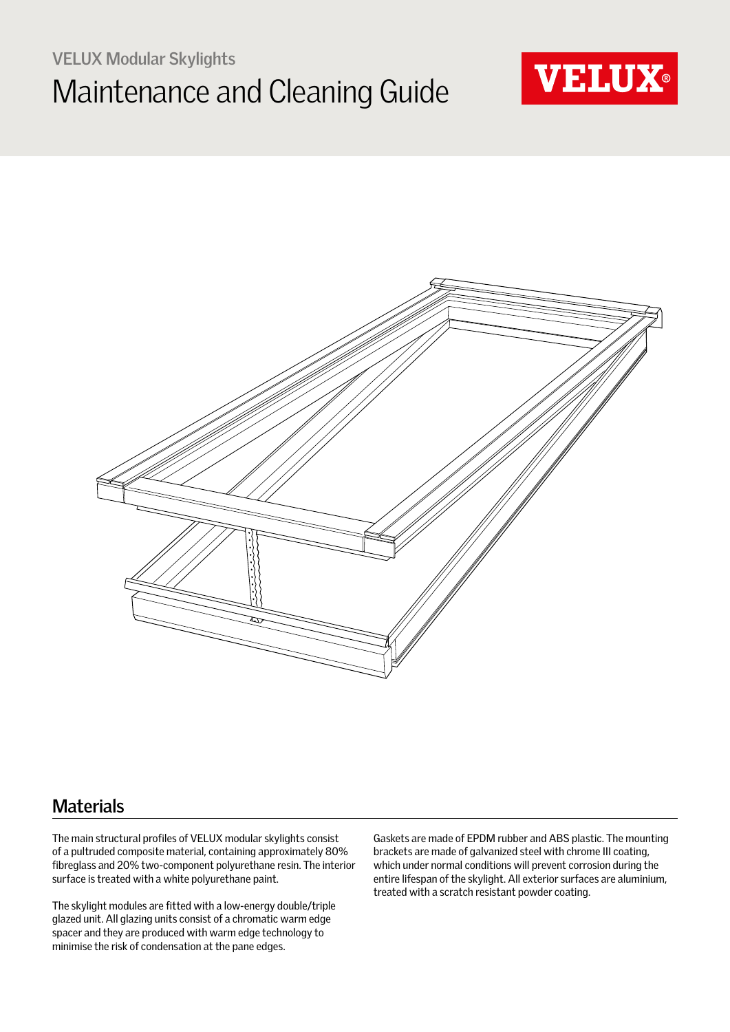# **VELUX Modular Skylights** Maintenance and Cleaning Guide





### **Materials**

The main structural profiles of VELUX modular skylights consist of a pultruded composite material, containing approximately 80% fibreglass and 20% two-component polyurethane resin. The interior surface is treated with a white polyurethane paint.

The skylight modules are fitted with a low-energy double/triple glazed unit. All glazing units consist of a chromatic warm edge spacer and they are produced with warm edge technology to minimise the risk of condensation at the pane edges.

Gaskets are made of EPDM rubber and ABS plastic. The mounting brackets are made of galvanized steel with chrome III coating, which under normal conditions will prevent corrosion during the entire lifespan of the skylight. All exterior surfaces are aluminium, treated with a scratch resistant powder coating.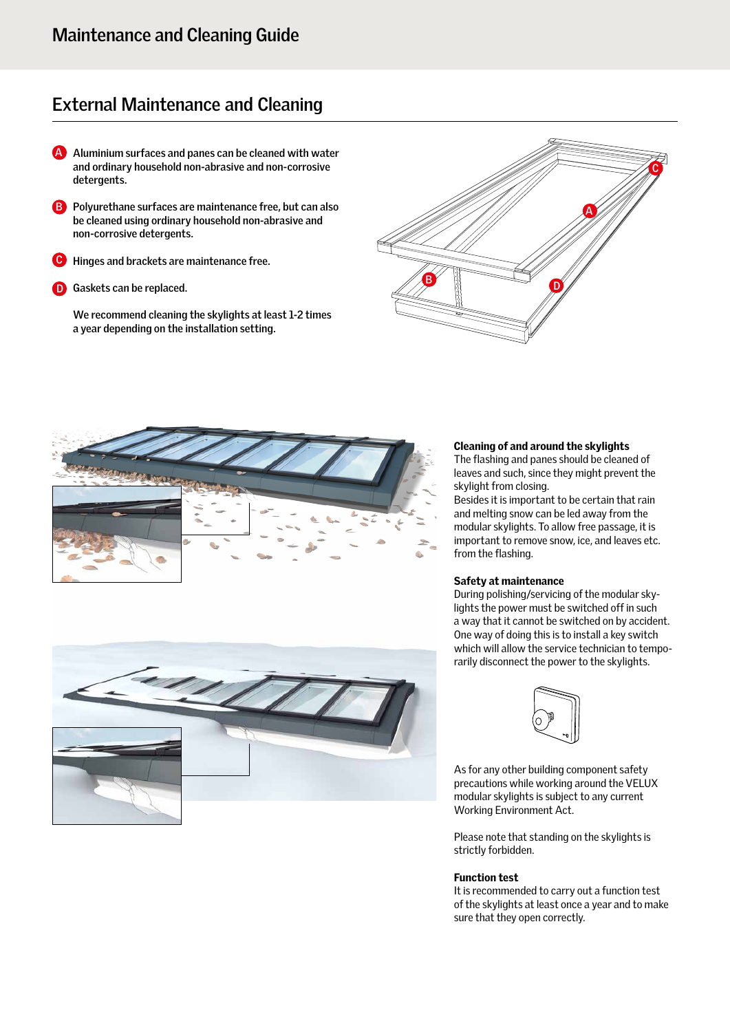## **External Maintenance and Cleaning**

- **Aluminium surfaces and panes can be cleaned with water A and ordinary household non-abrasive and non-corrosive detergents.**
- **Polyurethane surfaces are maintenance free, but can also B be cleaned using ordinary household non-abrasive and non-corrosive detergents.**
- **Hinges and brackets are maintenance free. C**
- 

**We recommend cleaning the skylights at least 1-2 times a year depending on the installation setting.**







#### Cleaning of and around the skylights

The flashing and panes should be cleaned of leaves and such, since they might prevent the skylight from closing.

Besides it is important to be certain that rain and melting snow can be led away from the modular skylights. To allow free passage, it is important to remove snow, ice, and leaves etc. from the flashing.

#### Safety at maintenance

During polishing/servicing of the modular skylights the power must be switched off in such a way that it cannot be switched on by accident. One way of doing this is to install a key switch which will allow the service technician to temporarily disconnect the power to the skylights.



As for any other building component safety precautions while working around the VELUX modular skylights is subject to any current Working Environment Act.

Please note that standing on the skylights is strictly forbidden.

#### Function test

It is recommended to carry out a function test of the skylights at least once a year and to make sure that they open correctly.